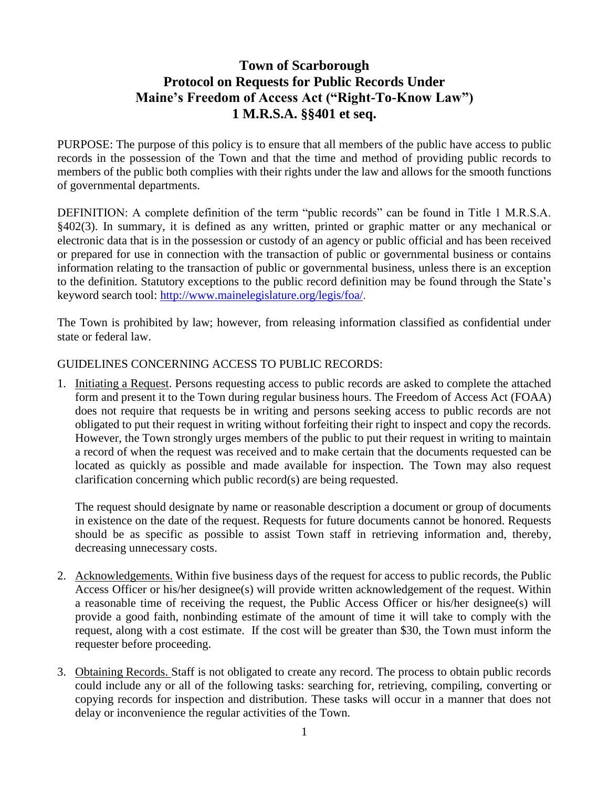## **Town of Scarborough Protocol on Requests for Public Records Under Maine's Freedom of Access Act ("Right-To-Know Law") 1 M.R.S.A. §§401 et seq.**

PURPOSE: The purpose of this policy is to ensure that all members of the public have access to public records in the possession of the Town and that the time and method of providing public records to members of the public both complies with their rights under the law and allows for the smooth functions of governmental departments.

DEFINITION: A complete definition of the term "public records" can be found in Title 1 M.R.S.A. §402(3). In summary, it is defined as any written, printed or graphic matter or any mechanical or electronic data that is in the possession or custody of an agency or public official and has been received or prepared for use in connection with the transaction of public or governmental business or contains information relating to the transaction of public or governmental business, unless there is an exception to the definition. Statutory exceptions to the public record definition may be found through the State's keyword search tool: [http://www.mainelegislature.org/legis/foa/.](http://www.mainelegislature.org/legis/foa/)

The Town is prohibited by law; however, from releasing information classified as confidential under state or federal law.

## GUIDELINES CONCERNING ACCESS TO PUBLIC RECORDS:

1. Initiating a Request. Persons requesting access to public records are asked to complete the attached form and present it to the Town during regular business hours. The Freedom of Access Act (FOAA) does not require that requests be in writing and persons seeking access to public records are not obligated to put their request in writing without forfeiting their right to inspect and copy the records. However, the Town strongly urges members of the public to put their request in writing to maintain a record of when the request was received and to make certain that the documents requested can be located as quickly as possible and made available for inspection. The Town may also request clarification concerning which public record(s) are being requested.

The request should designate by name or reasonable description a document or group of documents in existence on the date of the request. Requests for future documents cannot be honored. Requests should be as specific as possible to assist Town staff in retrieving information and, thereby, decreasing unnecessary costs.

- 2. Acknowledgements. Within five business days of the request for access to public records, the Public Access Officer or his/her designee(s) will provide written acknowledgement of the request. Within a reasonable time of receiving the request, the Public Access Officer or his/her designee(s) will provide a good faith, nonbinding estimate of the amount of time it will take to comply with the request, along with a cost estimate. If the cost will be greater than \$30, the Town must inform the requester before proceeding.
- 3. Obtaining Records. Staff is not obligated to create any record. The process to obtain public records could include any or all of the following tasks: searching for, retrieving, compiling, converting or copying records for inspection and distribution. These tasks will occur in a manner that does not delay or inconvenience the regular activities of the Town.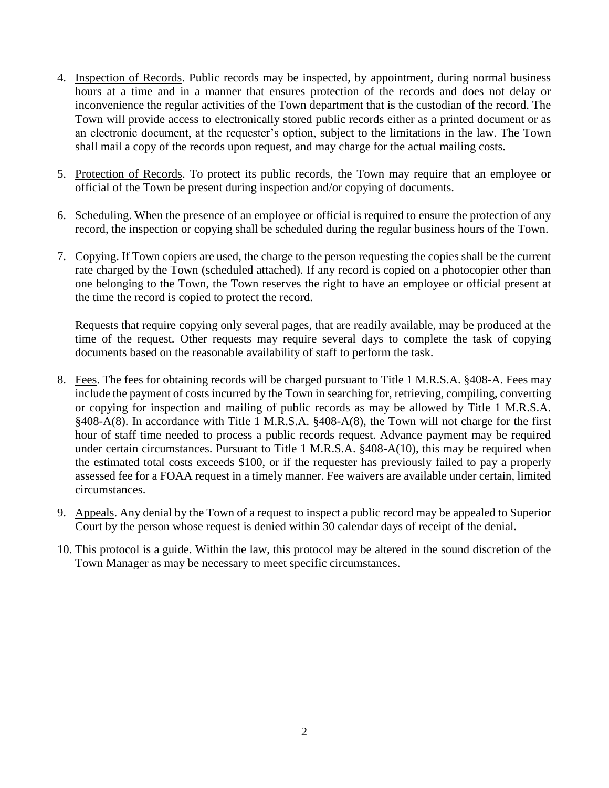- 4. Inspection of Records. Public records may be inspected, by appointment, during normal business hours at a time and in a manner that ensures protection of the records and does not delay or inconvenience the regular activities of the Town department that is the custodian of the record. The Town will provide access to electronically stored public records either as a printed document or as an electronic document, at the requester's option, subject to the limitations in the law. The Town shall mail a copy of the records upon request, and may charge for the actual mailing costs.
- 5. Protection of Records. To protect its public records, the Town may require that an employee or official of the Town be present during inspection and/or copying of documents.
- 6. Scheduling. When the presence of an employee or official is required to ensure the protection of any record, the inspection or copying shall be scheduled during the regular business hours of the Town.
- 7. Copying. If Town copiers are used, the charge to the person requesting the copies shall be the current rate charged by the Town (scheduled attached). If any record is copied on a photocopier other than one belonging to the Town, the Town reserves the right to have an employee or official present at the time the record is copied to protect the record.

Requests that require copying only several pages, that are readily available, may be produced at the time of the request. Other requests may require several days to complete the task of copying documents based on the reasonable availability of staff to perform the task.

- 8. Fees. The fees for obtaining records will be charged pursuant to Title 1 M.R.S.A. §408-A. Fees may include the payment of costs incurred by the Town in searching for, retrieving, compiling, converting or copying for inspection and mailing of public records as may be allowed by Title 1 M.R.S.A. §408-A(8). In accordance with Title 1 M.R.S.A. §408-A(8), the Town will not charge for the first hour of staff time needed to process a public records request. Advance payment may be required under certain circumstances. Pursuant to Title 1 M.R.S.A. §408-A(10), this may be required when the estimated total costs exceeds \$100, or if the requester has previously failed to pay a properly assessed fee for a FOAA request in a timely manner. Fee waivers are available under certain, limited circumstances.
- 9. Appeals. Any denial by the Town of a request to inspect a public record may be appealed to Superior Court by the person whose request is denied within 30 calendar days of receipt of the denial.
- 10. This protocol is a guide. Within the law, this protocol may be altered in the sound discretion of the Town Manager as may be necessary to meet specific circumstances.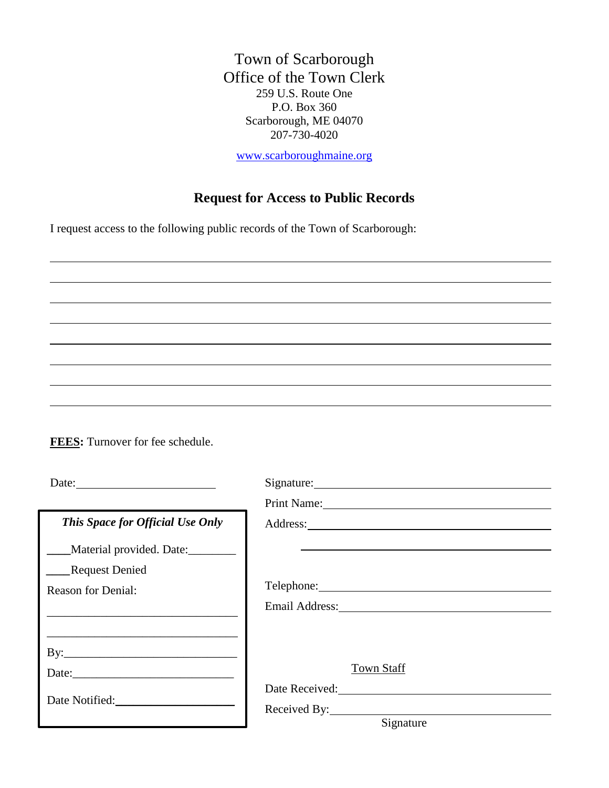Town of Scarborough Office of the Town Clerk 259 U.S. Route One P.O. Box 360 Scarborough, ME 04070 207-730-4020

[www.scarboroughm](http://www.scarborough.me.us/)aine.org

## **Request for Access to Public Records**

I request access to the following public records of the Town of Scarborough:

**FEES:** Turnover for fee schedule.

| Date:                            |                                                                                                                                                                                                                                |
|----------------------------------|--------------------------------------------------------------------------------------------------------------------------------------------------------------------------------------------------------------------------------|
|                                  | Print Name: Name and Second Second Second Second Second Second Second Second Second Second Second Second Second Second Second Second Second Second Second Second Second Second Second Second Second Second Second Second Secon |
| This Space for Official Use Only |                                                                                                                                                                                                                                |
| Material provided. Date:         |                                                                                                                                                                                                                                |
| Request Denied                   |                                                                                                                                                                                                                                |
| <b>Reason for Denial:</b>        | Telephone: The contract of the contract of the contract of the contract of the contract of the contract of the contract of the contract of the contract of the contract of the contract of the contract of the contract of the |
|                                  |                                                                                                                                                                                                                                |
|                                  |                                                                                                                                                                                                                                |
| $\mathbf{By:}\_\_\_\_\_\_\$      |                                                                                                                                                                                                                                |
|                                  | <b>Town Staff</b>                                                                                                                                                                                                              |
|                                  | Date Received:                                                                                                                                                                                                                 |
|                                  | Received By:                                                                                                                                                                                                                   |
|                                  | Signature                                                                                                                                                                                                                      |